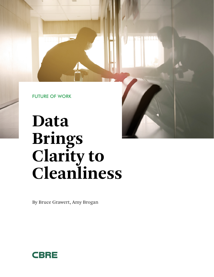FUTURE OF WORK

# **Data Brings Clarity to Cleanliness**

By Bruce Grawert, Amy Brogan

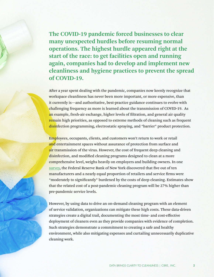**The COVID-19 pandemic forced businesses to clear many unexpected hurdles before resuming normal operations. The highest hurdle appeared right at the start of the race: to get facilities open and running again, companies had to develop and implement new cleanliness and hygiene practices to prevent the spread of COVID-19.** 

After a year spent dealing with the pandemic, companies now keenly recognize that workspace cleanliness has never been more important, or more expensive, than it currently is—and authoritative, best-practice guidance continues to evolve with challenging frequency as more is learned about the transmission of COVID-19. As an example, fresh-air exchange, higher levels of filtration, and general air quality remain high priorities, as opposed to extreme methods of cleaning such as frequent disinfection programming, electrostatic spraying, and "barrier" product protection.

Employees, occupants, clients, and customers won't return to work or retail and entertainment spaces without assurance of protection from surface and air transmission of the virus. However, the cost of frequent deep cleaning and disinfection, and modified cleaning programs designed to clean at a more comprehensive level, weighs heavily on employers and building owners. In one [survey,](https://www.newsday.com/business/coronavirus-cleaning-business-cost-poll-1.46970579) the Federal Reserve Bank of New York discovered that five out of ten manufacturers and a nearly equal proportion of retailers and service firms were "moderately to significantly" burdened by the costs of deep cleaning. Estimates show that the related cost of a post-pandemic cleaning program will be 27% higher than pre-pandemic service levels.

However, by using data to drive an on-demand cleaning program with an element of service validation, organizations can mitigate these high costs. These data-driven strategies create a digital trail, documenting the most time- and cost-effective deployment of cleaners even as they provide companies with evidence of completion. Such strategies demonstrate a commitment to creating a safe and healthy environment, while also mitigating expenses and curtailing unnecessarily duplicative cleaning work.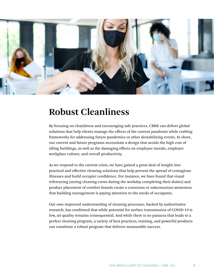

### **Robust Cleanliness**

By focusing on cleanliness and encouraging safe practices, CBRE can deliver global solutions that help clients manage the effects of the current pandemic while crafting frameworks for addressing future pandemics or other destabilizing events. In short, our current and future programs necessitate a design that avoids the high cost of idling buildings, as well as the damaging effects on employee morale, employer workplace culture, and overall productivity.

As we respond to the current crisis, we have gained a great deal of insight into practical and effective cleaning solutions that help prevent the spread of contagious illnesses and build occupier confidence. For instance, we have found that visual referencing (seeing cleaning crews during the workday completing their duties) and product placement of comfort brands create a conscious or subconscious awareness that building management is paying attention to the needs of occupants.

Our own improved understanding of cleaning processes, backed by authoritative research, has confirmed that while potential for surface transmission of COVID-19 is low, air quality remains consequential. And while there is no panacea that leads to a perfect cleaning program, a variety of best practices, training, and powerful products can constitute a robust program that delivers measurable success.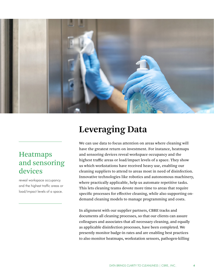

#### Heatmaps and sensoring devices

reveal workspace occupancy and the highest traffic areas or load/impact levels of a space.

## **Leveraging Data**

We can use data to focus attention on areas where cleaning will have the greatest return on investment. For instance, heatmaps and sensoring devices reveal workspace occupancy and the highest traffic areas or load/impact levels of a space. They show us which workstations have received heavy use, enabling our cleaning suppliers to attend to areas most in need of disinfection. Innovative technologies like robotics and autonomous machinery, where practically applicable, help us automate repetitive tasks. This lets cleaning teams devote more time to areas that require specific processes for effective cleaning, while also supporting ondemand cleaning models to manage programming and costs.

In alignment with our supplier partners, CBRE tracks and documents all cleaning processes, so that our clients can assure colleagues and associates that all necessary cleaning, and equally as applicable disinfection processes, have been completed. We presently monitor badge-in rates and are enabling best practices to also monitor heatmaps, workstation sensors, pathogen-killing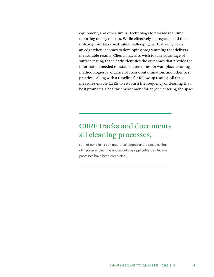equipment, and other similar technology to provide real-time reporting on key metrics. While effectively aggregating and then utilizing this data constitutes challenging work, it will give us an edge when it comes to developing programming that delivers measurable results. Clients may also wish to take advantage of surface testing that clearly identifies the outcomes that provide the information needed to establish baselines for workplace cleaning methodologies, avoidance of cross-contamination, and other best practices, along with a timeline for follow-up testing. All these measures enable CBRE to establish the frequency of cleaning that best promotes a healthy environment for anyone entering the space.

#### CBRE tracks and documents all cleaning processes,

so that our clients can assure colleagues and associates that all necessary cleaning and equally as applicable disinfection processes have been completed.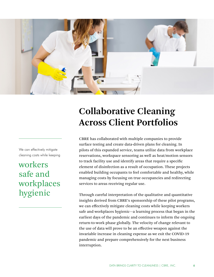

We can effectively mitigate cleaning costs while keeping

workers safe and workplaces hygienic

## **Collaborative Cleaning Across Client Portfolios**

CBRE has collaborated with multiple companies to provide surface testing and create data-driven plans for cleaning. In pilots of this expanded service, teams utilize data from workplace reservations, workspace sensoring as well as heat/motion sensors to track facility use and identify areas that require a specific element of disinfection as a result of occupation. These projects enabled building occupants to feel comfortable and healthy, while managing costs by focusing on true occupancies and redirecting services to areas receiving regular use.

Through careful interpretation of the qualitative and quantitative insights derived from CBRE's sponsorship of these pilot programs, we can effectively mitigate cleaning costs while keeping workers safe and workplaces hygienic—a learning process that began in the earliest days of the pandemic and continues to inform the ongoing return-to-work phase globally. The velocity of change relevant to the use of data will prove to be an effective weapon against the invariable increase in cleaning expense as we exit the COVID-19 pandemic and prepare comprehensively for the next business interruption.